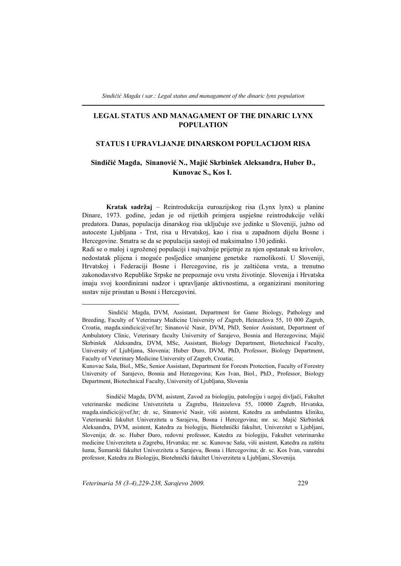## **LEGAL STATUS AND MANAGAMENT OF THE DINARIC LYNX POPULATION**

## **STATUS I UPRAVLJANJE DINARSKOM POPULACIJOM RISA**

# **Sindičić Magda, Sinanović N., Majić Skrbinšek Aleksandra, Huber Đ., Kunovac S., Kos I.**-

**Kratak sadržaj** – Reintrodukcija euroazijskog risa (Lynx lynx) u planine Dinare, 1973. godine, jedan je od rijetkih primjera uspješne reintrodukcije veliki predatora. Danas, populacija dinarskog risa uključuje sve jedinke u Sloveniji, južno od autoceste Ljubljana - Trst, risa u Hrvatskoj, kao i risa u zapadnom dijelu Bosne i Hercegovine. Smatra se da se populacija sastoji od maksimalno 130 jedinki.

Radi se o maloj i ugroženoj populaciji i najvažnije prijetnje za njen opstanak su krivolov, nedostatak plijena i moguće posljedice smanjene genetske raznolikosti. U Sloveniji, Hrvatskoj i Federaciji Bosne i Hercegovine, ris je zaštićena vrsta, a trenutno zakonodavstvo Republike Srpske ne prepoznaje ovu vrstu životinje. Slovenija i Hrvatska imaju svoj koordinirani nadzor i upravljanje aktivnostima, a organizirani monitoring sustav nije prisutan u Bosni i Hercegovini.

Sindičić Magda, DVM, asistent, Zavod za biologiju, patologiju i uzgoj divljači, Fakultet veterinarske medicine Univerziteta u Zagrebu, Heinzelova 55, 10000 Zagreb, Hrvatska, magda.sindicic@vef.hr; dr. sc, Sinanović Nasir, viši asistent, Katedra za ambulantnu kliniku, Veterinarski fakultet Univerziteta u Sarajevu, Bosna i Hercegovina; mr. sc. Majić Skrbinšek Aleksandra, DVM, asistent, Katedra za biologiju, Biotehnički fakultet, Univerzitet u Ljubljani, Slovenija; dr. sc. Huber Đuro, redovni professor, Katedra za biologiju, Fakultet veterinarske medicine Univerziteta u Zagrebu, Hrvatska; mr. sc. Kunovac Saša, viši asistent, Katedra za zaštitu šuma, Šumarski fakultet Univerziteta u Sarajevu, Bosna i Hercegovina; dr. sc. Kos Ivan, vanredni professor, Katedra za Biologiju, Biotehnički fakultet Univerziteta u Ljubljani, Slovenija.

-Sindičić Magda, DVM, Assistant, Department for Game Biology, Pathology and Breeding, Faculty of Veterinary Medicine University of Zagreb, Heinzelova 55, 10 000 Zagreb, Croatia, magda.sindicic@vef.hr; Sinanović Nasir, DVM, PhD, Senior Assistant, Department of Ambulatory Clinic, Veterinary faculty University of Sarajevo, Bosnia and Herzegovina; Majić Skrbinšek Aleksandra, DVM, MSc, Assistant, Biology Department, Biotechnical Faculty, University of Ljubljana, Slovenia; Huber Đuro, DVM, PhD, Professor, Biology Department, Faculty of Veterinary Medicine University of Zagreb, Croatia;

Kunovac Saša, Biol., MSc, Senior Assistant, Department for Forests Protection, Faculty of Forestry University of Sarajevo, Bosnia and Herzegovina; Kos Ivan, Biol., PhD., Professor, Biology Department, Biotechnical Faculty, University of Ljubljana, Slovenia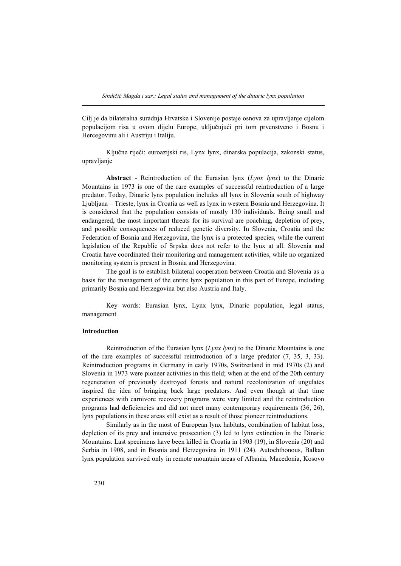Cilj je da bilateralna suradnja Hrvatske i Slovenije postaje osnova za upravljanje cijelom populacijom risa u ovom dijelu Europe, uključujući pri tom prvenstveno i Bosnu i Hercegovinu ali i Austriju i Italiju.

Ključne riječi: euroazijski ris, Lynx lynx, dinarska populacija, zakonski status, upravljanje

**Abstract** - Reintroduction of the Eurasian lynx (*Lynx lynx*) to the Dinaric Mountains in 1973 is one of the rare examples of successful reintroduction of a large predator. Today, Dinaric lynx population includes all lynx in Slovenia south of highway Ljubljana – Trieste, lynx in Croatia as well as lynx in western Bosnia and Herzegovina. It is considered that the population consists of mostly 130 individuals. Being small and endangered, the most important threats for its survival are poaching, depletion of prey, and possible consequences of reduced genetic diversity. In Slovenia, Croatia and the Federation of Bosnia and Herzegovina, the lynx is a protected species, while the current legislation of the Republic of Srpska does not refer to the lynx at all. Slovenia and Croatia have coordinated their monitoring and management activities, while no organized monitoring system is present in Bosnia and Herzegovina.

The goal is to establish bilateral cooperation between Croatia and Slovenia as a basis for the management of the entire lynx population in this part of Europe, including primarily Bosnia and Herzegovina but also Austria and Italy.

Key words: Eurasian lynx, Lynx lynx, Dinaric population, legal status, management

### **Introduction**

Reintroduction of the Eurasian lynx (*Lynx lynx*) to the Dinaric Mountains is one of the rare examples of successful reintroduction of a large predator (7, 35, 3, 33). Reintroduction programs in Germany in early 1970s, Switzerland in mid 1970s (2) and Slovenia in 1973 were pioneer activities in this field; when at the end of the 20th century regeneration of previously destroyed forests and natural recolonization of ungulates inspired the idea of bringing back large predators. And even though at that time experiences with carnivore recovery programs were very limited and the reintroduction programs had deficiencies and did not meet many contemporary requirements (36, 26), lynx populations in these areas still exist as a result of those pioneer reintroductions.

Similarly as in the most of European lynx habitats, combination of habitat loss, depletion of its prey and intensive prosecution (3) led to lynx extinction in the Dinaric Mountains. Last specimens have been killed in Croatia in 1903 (19), in Slovenia (20) and Serbia in 1908, and in Bosnia and Herzegovina in 1911 (24). Autochthonous, Balkan lynx population survived only in remote mountain areas of Albania, Macedonia, Kosovo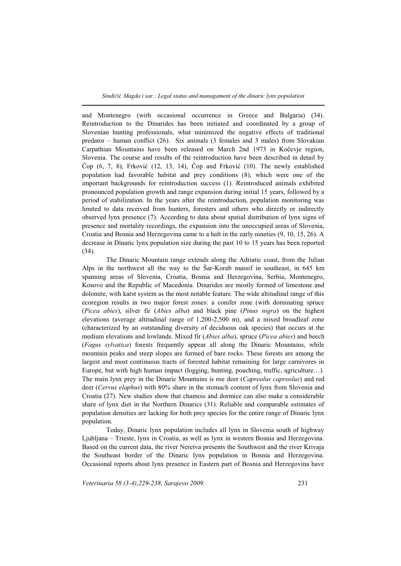and Montenegro (with occasional occurrence in Greece and Bulgaria) (34). Reintroduction to the Dinarides has been initiated and coordinated by a group of Slovenian hunting professionals, what minimized the negative effects of traditional predator – human conflict (26). Six animals (3 females and 3 males) from Slovakian Carpathian Mountains have been released on March 2nd 1973 in Kočevje region, Slovenia. The course and results of the reintroduction have been described in detail by Čop (6, 7, 8), Frković (12, 13, 14), Čop and Frković (10). The newly established population had favorable habitat and prey conditions (8), which were one of the important backgrounds for reintroduction success (1). Reintroduced animals exhibited pronounced population growth and range expansion during initial 15 years, followed by a period of stabilization. In the years after the reintroduction, population monitoring was limited to data received from hunters, foresters and others who directly or indirectly observed lynx presence (7). According to data about spatial distribution of lynx signs of presence and mortality recordings, the expansion into the unoccupied areas of Slovenia, Croatia and Bosnia and Herzegovina came to a halt in the early nineties (9, 10, 15, 26). A decrease in Dinaric lynx population size during the past 10 to 15 years has been reported (34).

The Dinaric Mountain range extends along the Adriatic coast, from the Julian Alps in the northwest all the way to the Šar-Korab massif in southeast, in 645 km spanning areas of Slovenia, Croatia, Bosnia and Herzegovina, Serbia, Montenegro, Kosovo and the Republic of Macedonia. Dinarides are mostly formed of limestone and dolomite, with karst system as the most notable feature. The wide altitudinal range of this ecoregion results in two major forest zones: a conifer zone (with dominating spruce (*Picea abies*), silver fir (*Abies alba*) and black pine (*Pinus nigra*) on the highest elevations (average altitudinal range of 1,200-2,500 m), and a mixed broadleaf zone (characterized by an outstanding diversity of deciduous oak species) that occurs at the medium elevations and lowlands. Mixed fir (*Abies alba*), spruce (*Picea abies*) and beech (*Fagus sylvatica*) forests frequently appear all along the Dinaric Mountains, while mountain peaks and steep slopes are formed of bare rocks. These forests are among the largest and most continuous tracts of forested habitat remaining for large carnivores in Europe, but with high human impact (logging, hunting, poaching, traffic, agriculture…). The main lynx prey in the Dinaric Mountains is roe deer (*Capreolus capreolus*) and red deer (*Cervus elaphus*) with 80% share in the stomach content of lynx from Slovenia and Croatia (27). New studies show that chamois and dormice can also make a considerable share of lynx diet in the Northern Dinarics (31). Reliable and comparable estimates of population densities are lacking for both prey species for the entire range of Dinaric lynx population.

Today, Dinaric lynx population includes all lynx in Slovenia south of highway Ljubljana – Trieste, lynx in Croatia, as well as lynx in western Bosnia and Herzegovina. Based on the current data, the river Neretva presents the Southwest and the river Krivaja the Southeast border of the Dinaric lynx population in Bosnia and Herzegovina. Occasional reports about lynx presence in Eastern part of Bosnia and Herzegovina have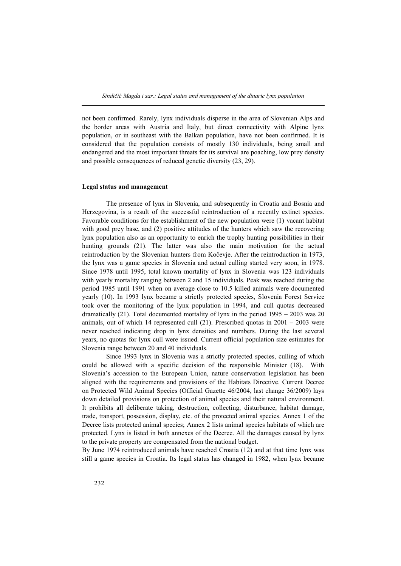not been confirmed. Rarely, lynx individuals disperse in the area of Slovenian Alps and the border areas with Austria and Italy, but direct connectivity with Alpine lynx population, or in southeast with the Balkan population, have not been confirmed. It is considered that the population consists of mostly 130 individuals, being small and endangered and the most important threats for its survival are poaching, low prey density and possible consequences of reduced genetic diversity (23, 29).

## **Legal status and management**

The presence of lynx in Slovenia, and subsequently in Croatia and Bosnia and Herzegovina, is a result of the successful reintroduction of a recently extinct species. Favorable conditions for the establishment of the new population were (1) vacant habitat with good prey base, and (2) positive attitudes of the hunters which saw the recovering lynx population also as an opportunity to enrich the trophy hunting possibilities in their hunting grounds (21). The latter was also the main motivation for the actual reintroduction by the Slovenian hunters from Kočevje. After the reintroduction in 1973, the lynx was a game species in Slovenia and actual culling started very soon, in 1978. Since 1978 until 1995, total known mortality of lynx in Slovenia was 123 individuals with yearly mortality ranging between 2 and 15 individuals. Peak was reached during the period 1985 until 1991 when on average close to 10.5 killed animals were documented yearly (10). In 1993 lynx became a strictly protected species, Slovenia Forest Service took over the monitoring of the lynx population in 1994, and cull quotas decreased dramatically  $(21)$ . Total documented mortality of lynx in the period  $1995 - 2003$  was 20 animals, out of which 14 represented cull  $(21)$ . Prescribed quotas in  $2001 - 2003$  were never reached indicating drop in lynx densities and numbers. During the last several years, no quotas for lynx cull were issued. Current official population size estimates for Slovenia range between 20 and 40 individuals.

Since 1993 lynx in Slovenia was a strictly protected species, culling of which could be allowed with a specific decision of the responsible Minister (18). With Slovenia's accession to the European Union, nature conservation legislation has been aligned with the requirements and provisions of the Habitats Directive. Current Decree on Protected Wild Animal Species (Official Gazette 46/2004, last change 36/2009) lays down detailed provisions on protection of animal species and their natural environment. It prohibits all deliberate taking, destruction, collecting, disturbance, habitat damage, trade, transport, possession, display, etc. of the protected animal species. Annex 1 of the Decree lists protected animal species; Annex 2 lists animal species habitats of which are protected. Lynx is listed in both annexes of the Decree. All the damages caused by lynx to the private property are compensated from the national budget.

By June 1974 reintroduced animals have reached Croatia (12) and at that time lynx was still a game species in Croatia. Its legal status has changed in 1982, when lynx became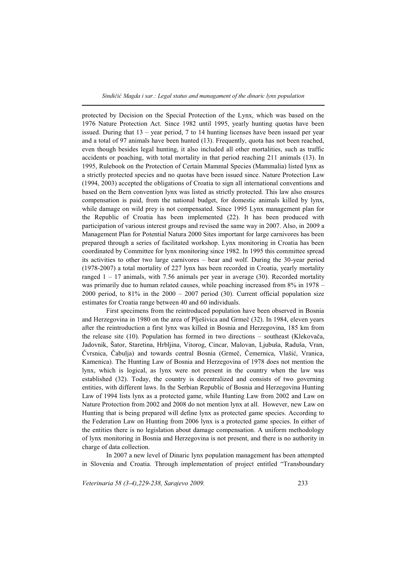protected by Decision on the Special Protection of the Lynx, which was based on the 1976 Nature Protection Act. Since 1982 until 1995, yearly hunting quotas have been issued. During that  $13$  – year period, 7 to 14 hunting licenses have been issued per year and a total of 97 animals have been hunted (13). Frequently, quota has not been reached, even though besides legal hunting, it also included all other mortalities, such as traffic accidents or poaching, with total mortality in that period reaching 211 animals (13). In 1995, Rulebook on the Protection of Certain Mammal Species (Mammalia) listed lynx as a strictly protected species and no quotas have been issued since. Nature Protection Law (1994, 2003) accepted the obligations of Croatia to sign all international conventions and based on the Bern convention lynx was listed as strictly protected. This law also ensures compensation is paid, from the national budget, for domestic animals killed by lynx, while damage on wild prey is not compensated. Since 1995 Lynx management plan for the Republic of Croatia has been implemented (22). It has been produced with participation of various interest groups and revised the same way in 2007. Also, in 2009 a Management Plan for Potential Natura 2000 Sites important for large carnivores has been prepared through a series of facilitated workshop. Lynx monitoring in Croatia has been coordinated by Committee for lynx monitoring since 1982. In 1995 this committee spread its activities to other two large carnivores – bear and wolf. During the 30-year period (1978-2007) a total mortality of 227 lynx has been recorded in Croatia, yearly mortality ranged  $1 - 17$  animals, with 7.56 animals per year in average (30). Recorded mortality was primarily due to human related causes, while poaching increased from 8% in 1978 – 2000 period, to  $81\%$  in the 2000 – 2007 period (30). Current official population size estimates for Croatia range between 40 and 60 individuals.

First specimens from the reintroduced population have been observed in Bosnia and Herzegovina in 1980 on the area of Plješivica and Grmeč (32). In 1984, eleven years after the reintroduction a first lynx was killed in Bosnia and Herzegovina, 185 km from the release site (10). Population has formed in two directions – southeast (Klekovača, Jadovnik, Šator, Staretina, Hrbljina, Vitorog, Cincar, Malovan, Ljubuša, Raduša, Vran, Čvrsnica, Čabulja) and towards central Bosnia (Grmeč, Čemernica, Vlašić, Vranica, Kamenica). The Hunting Law of Bosnia and Herzegovina of 1978 does not mention the lynx, which is logical, as lynx were not present in the country when the law was established (32). Today, the country is decentralized and consists of two governing entities, with different laws. In the Serbian Republic of Bosnia and Herzegovina Hunting Law of 1994 lists lynx as a protected game, while Hunting Law from 2002 and Law on Nature Protection from 2002 and 2008 do not mention lynx at all. However, new Law on Hunting that is being prepared will define lynx as protected game species. According to the Federation Law on Hunting from 2006 lynx is a protected game species. In either of the entities there is no legislation about damage compensation. A uniform methodology of lynx monitoring in Bosnia and Herzegovina is not present, and there is no authority in charge of data collection.

In 2007 a new level of Dinaric lynx population management has been attempted in Slovenia and Croatia. Through implementation of project entitled "Transboundary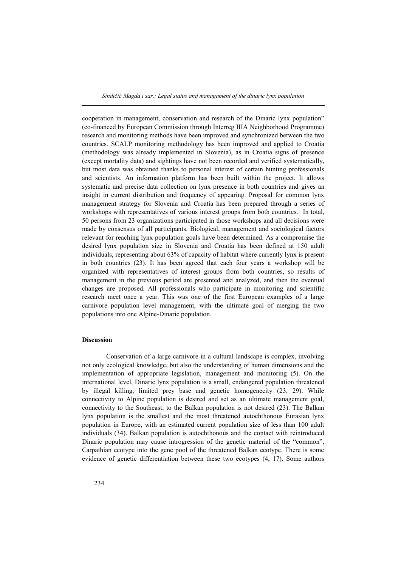cooperation in management, conservation and research of the Dinaric lynx population" (co-financed by European Commission through Interreg IIIA Neighborhood Programme) research and monitoring methods have been improved and synchronized between the two countries. SCALP monitoring methodology has been improved and applied to Croatia (methodology was already implemented in Slovenia), as in Croatia signs of presence (except mortality data) and sightings have not been recorded and verified systematically, but most data was obtained thanks to personal interest of certain hunting professionals and scientists. An information platform has been built within the project. It allows systematic and precise data collection on lynx presence in both countries and gives an insight in current distribution and frequency of appearing. Proposal for common lynx management strategy for Slovenia and Croatia has been prepared through a series of workshops with representatives of various interest groups from both countries. In total, 50 persons from 23 organizations participated in those workshops and all decisions were made by consensus of all participants. Biological, management and sociological factors relevant for reaching lynx population goals have been determined. As a compromise the desired lynx population size in Slovenia and Croatia has been defined at 150 adult individuals, representing about 63% of capacity of habitat where currently lynx is present in both countries (23). It has been agreed that each four years a workshop will be organized with representatives of interest groups from both countries, so results of management in the previous period are presented and analyzed, and then the eventual changes are proposed. All professionals who participate in monitoring and scientific research meet once a year. This was one of the first European examples of a large carnivore population level management, with the ultimate goal of merging the two populations into one Alpine-Dinaric population.

#### **Discussion**

Conservation of a large carnivore in a cultural landscape is complex, involving not only ecological knowledge, but also the understanding of human dimensions and the implementation of appropriate legislation, management and monitoring (5). On the international level, Dinaric lynx population is a small, endangered population threatened by illegal killing, limited prey base and genetic homogenecity (23, 29). While connectivity to Alpine population is desired and set as an ultimate management goal, connectivity to the Southeast, to the Balkan population is not desired (23). The Balkan lynx population is the smallest and the most threatened autochthonous Eurasian lynx population in Europe, with an estimated current population size of less than 100 adult individuals (34). Balkan population is autochthonous and the contact with reintroduced Dinaric population may cause introgression of the genetic material of the "common", Carpathian ecotype into the gene pool of the threatened Balkan ecotype. There is some evidence of genetic differentiation between these two ecotypes (4, 17). Some authors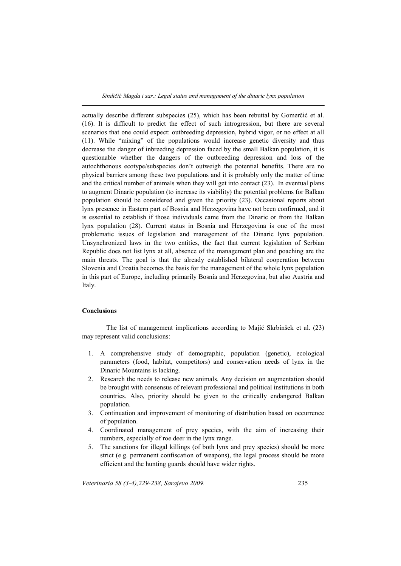actually describe different subspecies (25), which has been rebuttal by Gomerčić et al. (16). It is difficult to predict the effect of such introgression, but there are several scenarios that one could expect: outbreeding depression, hybrid vigor, or no effect at all (11). While "mixing" of the populations would increase genetic diversity and thus decrease the danger of inbreeding depression faced by the small Balkan population, it is questionable whether the dangers of the outbreeding depression and loss of the autochthonous ecotype/subspecies don't outweigh the potential benefits. There are no physical barriers among these two populations and it is probably only the matter of time and the critical number of animals when they will get into contact (23). In eventual plans to augment Dinaric population (to increase its viability) the potential problems for Balkan population should be considered and given the priority (23). Occasional reports about lynx presence in Eastern part of Bosnia and Herzegovina have not been confirmed, and it is essential to establish if those individuals came from the Dinaric or from the Balkan lynx population (28). Current status in Bosnia and Herzegovina is one of the most problematic issues of legislation and management of the Dinaric lynx population. Unsynchronized laws in the two entities, the fact that current legislation of Serbian Republic does not list lynx at all, absence of the management plan and poaching are the main threats. The goal is that the already established bilateral cooperation between Slovenia and Croatia becomes the basis for the management of the whole lynx population in this part of Europe, including primarily Bosnia and Herzegovina, but also Austria and Italy.

#### **Conclusions**

The list of management implications according to Majić Skrbinšek et al. (23) may represent valid conclusions:

- 1. A comprehensive study of demographic, population (genetic), ecological parameters (food, habitat, competitors) and conservation needs of lynx in the Dinaric Mountains is lacking.
- 2. Research the needs to release new animals. Any decision on augmentation should be brought with consensus of relevant professional and political institutions in both countries. Also, priority should be given to the critically endangered Balkan population.
- 3. Continuation and improvement of monitoring of distribution based on occurrence of population.
- 4. Coordinated management of prey species, with the aim of increasing their numbers, especially of roe deer in the lynx range.
- 5. The sanctions for illegal killings (of both lynx and prey species) should be more strict (e.g. permanent confiscation of weapons), the legal process should be more efficient and the hunting guards should have wider rights.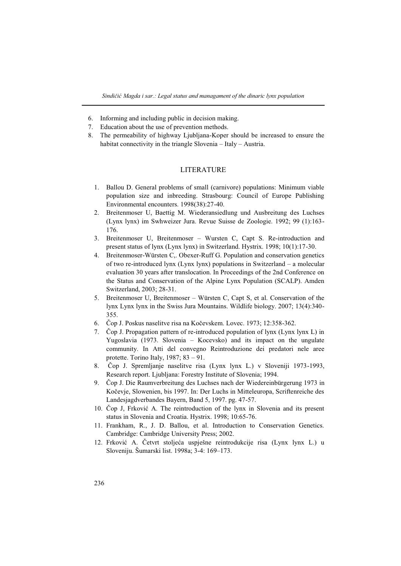- 6. Informing and including public in decision making.
- 7. Education about the use of prevention methods.
- 8. The permeability of highway Ljubljana-Koper should be increased to ensure the habitat connectivity in the triangle Slovenia – Italy – Austria.

### LITERATURE

- 1. Ballou D. General problems of small (carnivore) populations: Minimum viable population size and inbreeding. Strasbourg: Council of Europe Publishing Environmental encounters. 1998(38):27-40.
- 2. Breitenmoser U, Baettig M. Wiederansiedlung und Ausbreitung des Luchses (Lynx lynx) im Swhweizer Jura. Revue Suisse de Zoologie. 1992; 99 (1):163- 176.
- 3. Breitenmoser U, Breitenmoser Wursten C, Capt S. Re-introduction and present status of lynx (Lynx lynx) in Switzerland. Hystrix. 1998; 10(1):17-30.
- 4. Breitenmoser-Würsten C,. Obexer-Ruff G. Population and conservation genetics of two re-introduced lynx (Lynx lynx) populations in Switzerland – a molecular evaluation 30 years after translocation. In Proceedings of the 2nd Conference on the Status and Conservation of the Alpine Lynx Population (SCALP). Amden Switzerland, 2003; 28-31.
- 5. Breitenmoser U, Breitenmoser Würsten C, Capt S, et al. Conservation of the lynx Lynx lynx in the Swiss Jura Mountains. Wildlife biology. 2007; 13(4):340- 355.
- 6. Čop J. Poskus naselitve risa na Kočevskem. Lovec. 1973; 12:358-362.
- 7. Čop J. Propagation pattern of re-introduced population of lynx (Lynx lynx L) in Yugoslavia (1973. Slovenia – Kocevsko) and its impact on the ungulate community. In Atti del convegno Reintroduzione dei predatori nele aree protette. Torino Italy, 1987; 83 – 91.
- 8. Čop J. Spremljanje naselitve risa (Lynx lynx L.) v Sloveniji 1973-1993, Research report. Ljubljana: Forestry Institute of Slovenia; 1994.
- 9. Čop J. Die Raumverbreitung des Luchses nach der Wiedereinbürgerung 1973 in Kočevje, Slowenien, bis 1997. In: Der Luchs in Mitteleuropa, Scriftenreiche des Landesjagdverbandes Bayern, Band 5, 1997. pg. 47-57.
- 10. Čop J, Frković A. The reintroduction of the lynx in Slovenia and its present status in Slovenia and Croatia. Hystrix. 1998; 10:65-76.
- 11. Frankham, R., J. D. Ballou, et al. Introduction to Conservation Genetics. Cambridge: Cambridge University Press; 2002.
- 12. Frković A. Četvrt stoljeća uspješne reintrodukcije risa (Lynx lynx L.) u Sloveniju. Šumarski list. 1998a; 3-4: 169–173.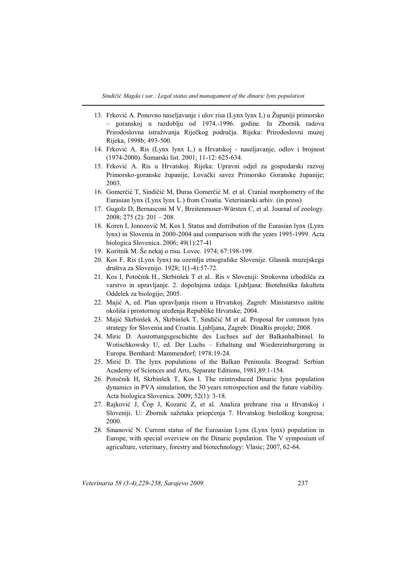- 13. Frković A. Ponovno naseljavanje i ulov risa (Lynx lynx L) u Županiji primorsko – goranskoj u razdoblju od 1974.-1996. godine. In Zbornik radova Prirodoslovna istraživanja Riječkog područja. Rijeka: Prirodoslovni muzej Rijeka, 1998b; 493-500.
- 14. Frković A. Ris (Lynx lynx L.) u Hrvatskoj naseljavanje, odlov i brojnost (1974-2000). Šumarski list. 2001; 11-12: 625-634.
- 15. Frković A. Ris u Hrvatskoj. Rijeka: Upravni odjel za gospodarski razvoj Primorsko-goranske županije, Lovački savez Primorsko Goranske županije; 2003.
- 16. Gomerčić T, Sindičić M, Đuras Gomerčić M. et al. Cranial morphometry of the Eurasian lynx (Lynx lynx L.) from Croatia. Veterinarski arhiv. (in press)
- 17. Gugolz D, Bernasconi M V, Breitenmoser-Würsten C, et al. Journal of zoology. 2008; 275 (2): 201 – 208.
- 18. Koren I, Jonozovič M, Kos I. Status and distribution of the Eurasian lynx (Lynx lynx) in Slovenia in 2000-2004 and comparison with the years 1995-1999. Acta biologica Slovenica. 2006; 49(1):27-41
- 19. Koritnik M. Še nekaj o risu. Lovec. 1974; 67:198-199.
- 20. Kos F. Ris (Lynx lynx) na ozemlju etnografske Slovenije. Glasnik muzejskega društva za Slovenijo. 1928; 1(1-4):57-72.
- 21. Kos I, Potočnik H., Skrbinšek T et al.. Ris v Sloveniji: Strokovna izhodišča za varstvo in upravljanje. 2. dopolnjena izdaja. Ljubljana: Biotehniška fakulteta Oddelek za biologijo; 2005.
- 22. Majić A, ed. Plan upravljanja risom u Hrvatskoj. Zagreb: Ministarstvo zaštite okoliša i prostornog uređenja Republike Hrvatske; 2004.
- 23. Majić Skrbinšek A, Skrbinšek T, Sindičić M et al. Proposal for common lynx strategy for Slovenia and Croatia. Ljubljana, Zagreb: DinaRis projekt; 2008.
- 24. Miric D. Ausrottungsgeschichte des Luchses auf der Balkanhalbinsel. In Wotischkowsky U, ed. Der Luchs – Erhaltung und Wiedereinburgerung in Europa. Bernhard: Mammendorf; 1978:19-24.
- 25. Mirić D. The lynx populations of the Balkan Peninsula. Beograd: Serbian Academy of Sciences and Arts, Separate Editions, 1981,89:1-154.
- 26. Potočnik H, Skrbinšek T, Kos I. The reintroduced Dinaric lynx population dynamics in PVA simulation, the 30 years retrospection and the future viability. Acta biologica Slovenica. 2009; 52(1): 3-18.
- 27. Rajković J, Čop J, Kozarić Z, et al. Analiza prehrane risa u Hrvatskoj i Sloveniji. U: Zbornik sažetaka priopćenja 7. Hrvatskog biološkog kongresa; 2000.
- 28. Sinanović N. Current status of the Euroasian Lynx (Lynx lynx) population in Europe, with special overview on the Dinaric population. The V symposium of agriculture, veterinary, forestry and biotechnology: Vlasic; 2007, 62-64.